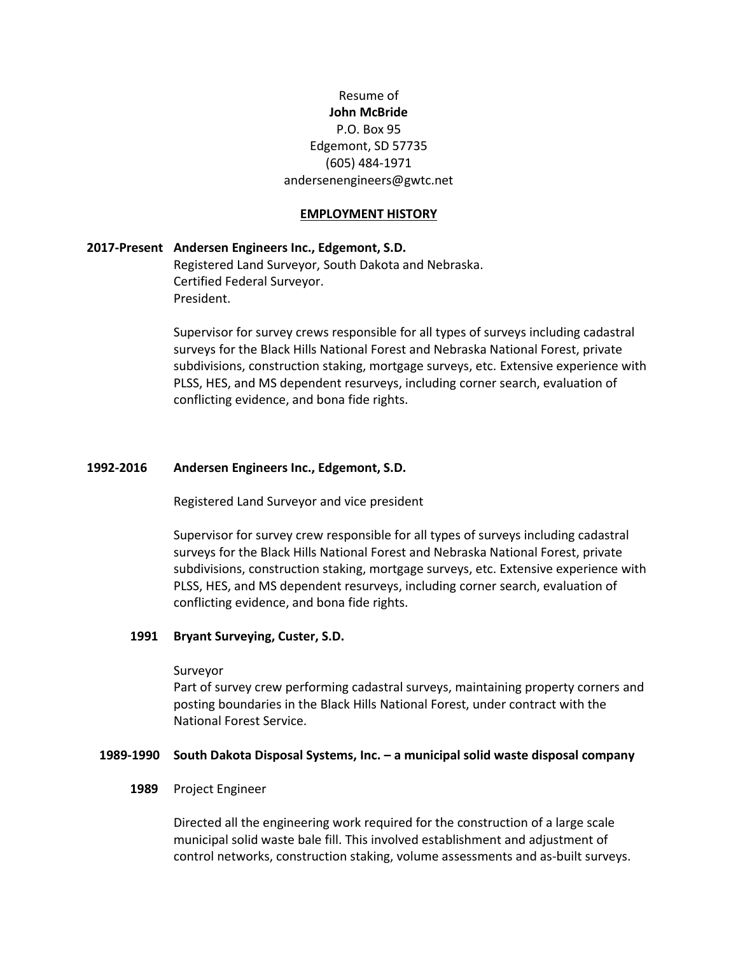# Resume of **John McBride** P.O. Box 95 Edgemont, SD 57735 (605) 484-1971 andersenengineers@gwtc.net

#### **EMPLOYMENT HISTORY**

### **2017-Present Andersen Engineers Inc., Edgemont, S.D.**

Registered Land Surveyor, South Dakota and Nebraska. Certified Federal Surveyor. President.

Supervisor for survey crews responsible for all types of surveys including cadastral surveys for the Black Hills National Forest and Nebraska National Forest, private subdivisions, construction staking, mortgage surveys, etc. Extensive experience with PLSS, HES, and MS dependent resurveys, including corner search, evaluation of conflicting evidence, and bona fide rights.

### **1992-2016 Andersen Engineers Inc., Edgemont, S.D.**

Registered Land Surveyor and vice president

Supervisor for survey crew responsible for all types of surveys including cadastral surveys for the Black Hills National Forest and Nebraska National Forest, private subdivisions, construction staking, mortgage surveys, etc. Extensive experience with PLSS, HES, and MS dependent resurveys, including corner search, evaluation of conflicting evidence, and bona fide rights.

### **1991 Bryant Surveying, Custer, S.D.**

#### Surveyor

Part of survey crew performing cadastral surveys, maintaining property corners and posting boundaries in the Black Hills National Forest, under contract with the National Forest Service.

### **1989-1990 South Dakota Disposal Systems, Inc. – a municipal solid waste disposal company**

#### **1989** Project Engineer

Directed all the engineering work required for the construction of a large scale municipal solid waste bale fill. This involved establishment and adjustment of control networks, construction staking, volume assessments and as-built surveys.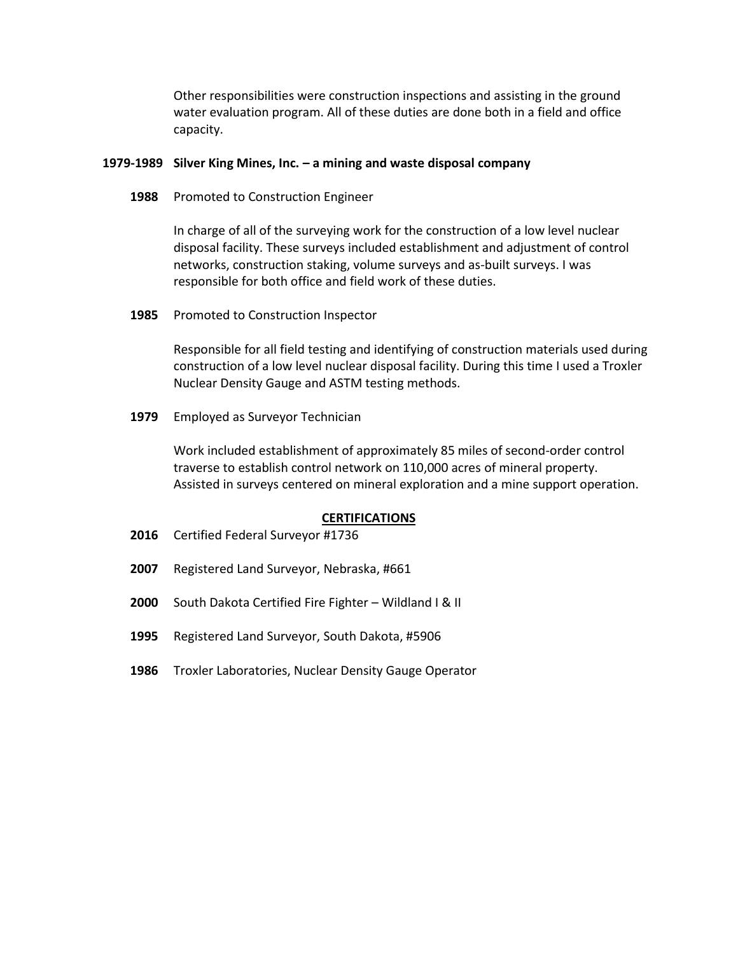Other responsibilities were construction inspections and assisting in the ground water evaluation program. All of these duties are done both in a field and office capacity.

### **1979-1989 Silver King Mines, Inc. – a mining and waste disposal company**

**1988** Promoted to Construction Engineer

In charge of all of the surveying work for the construction of a low level nuclear disposal facility. These surveys included establishment and adjustment of control networks, construction staking, volume surveys and as-built surveys. I was responsible for both office and field work of these duties.

**1985** Promoted to Construction Inspector

Responsible for all field testing and identifying of construction materials used during construction of a low level nuclear disposal facility. During this time I used a Troxler Nuclear Density Gauge and ASTM testing methods.

**1979** Employed as Surveyor Technician

Work included establishment of approximately 85 miles of second-order control traverse to establish control network on 110,000 acres of mineral property. Assisted in surveys centered on mineral exploration and a mine support operation.

### **CERTIFICATIONS**

- **2016** Certified Federal Surveyor #1736
- **2007** Registered Land Surveyor, Nebraska, #661
- **2000** South Dakota Certified Fire Fighter Wildland I & II
- **1995** Registered Land Surveyor, South Dakota, #5906
- **1986** Troxler Laboratories, Nuclear Density Gauge Operator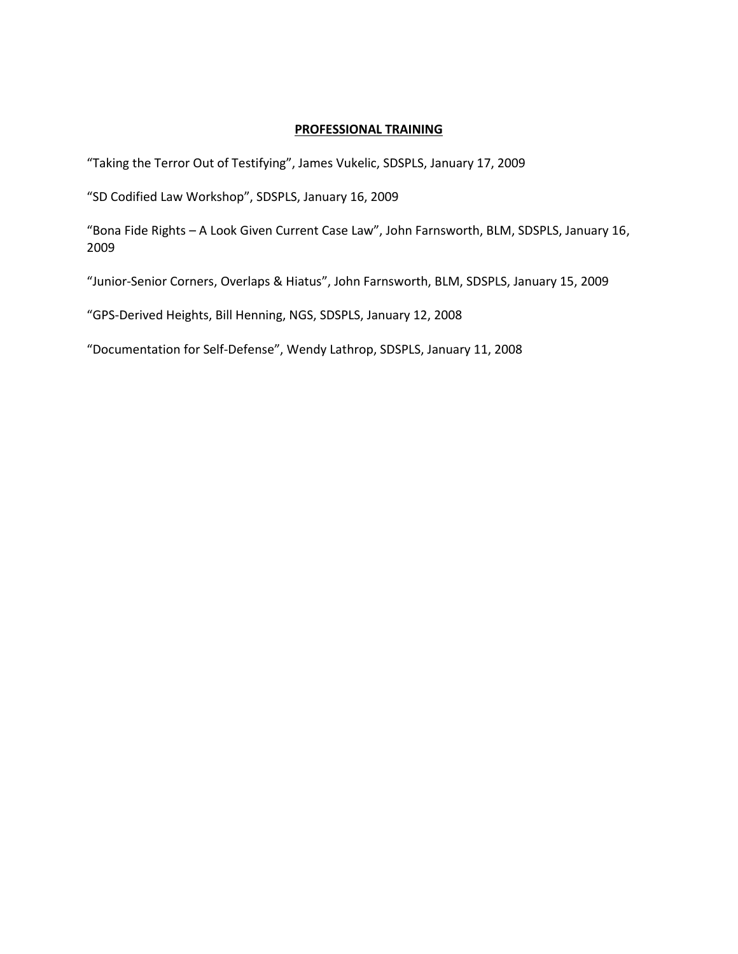## **PROFESSIONAL TRAINING**

"Taking the Terror Out of Testifying", James Vukelic, SDSPLS, January 17, 2009

"SD Codified Law Workshop", SDSPLS, January 16, 2009

"Bona Fide Rights – A Look Given Current Case Law", John Farnsworth, BLM, SDSPLS, January 16, 2009

"Junior-Senior Corners, Overlaps & Hiatus", John Farnsworth, BLM, SDSPLS, January 15, 2009

"GPS-Derived Heights, Bill Henning, NGS, SDSPLS, January 12, 2008

"Documentation for Self-Defense", Wendy Lathrop, SDSPLS, January 11, 2008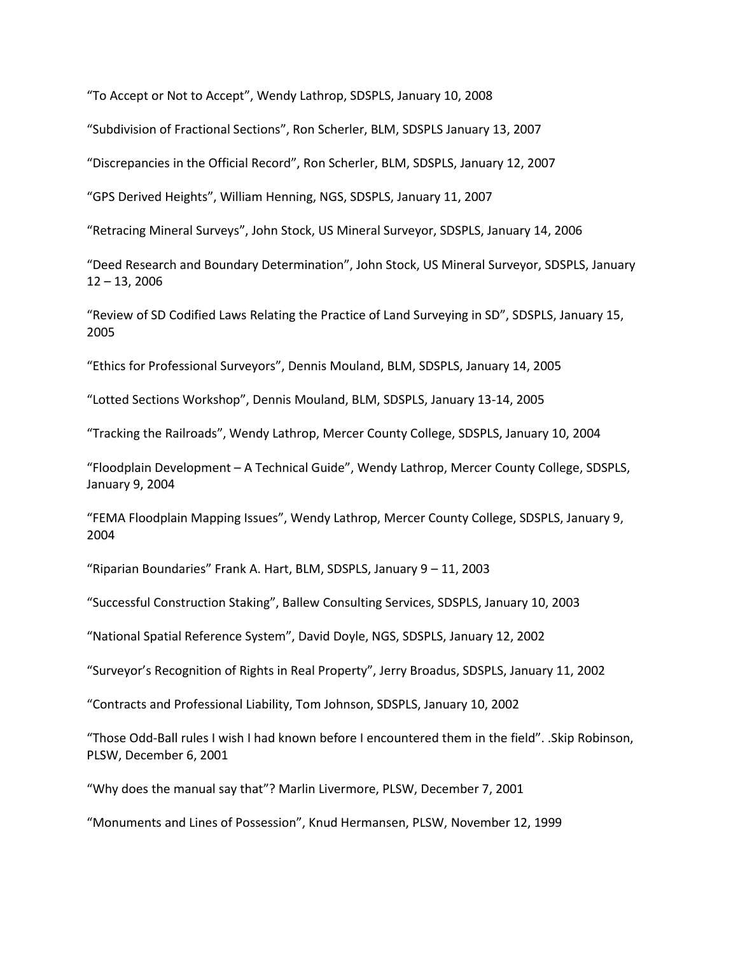"To Accept or Not to Accept", Wendy Lathrop, SDSPLS, January 10, 2008

"Subdivision of Fractional Sections", Ron Scherler, BLM, SDSPLS January 13, 2007

"Discrepancies in the Official Record", Ron Scherler, BLM, SDSPLS, January 12, 2007

"GPS Derived Heights", William Henning, NGS, SDSPLS, January 11, 2007

"Retracing Mineral Surveys", John Stock, US Mineral Surveyor, SDSPLS, January 14, 2006

"Deed Research and Boundary Determination", John Stock, US Mineral Surveyor, SDSPLS, January 12 – 13, 2006

"Review of SD Codified Laws Relating the Practice of Land Surveying in SD", SDSPLS, January 15, 2005

"Ethics for Professional Surveyors", Dennis Mouland, BLM, SDSPLS, January 14, 2005

"Lotted Sections Workshop", Dennis Mouland, BLM, SDSPLS, January 13-14, 2005

"Tracking the Railroads", Wendy Lathrop, Mercer County College, SDSPLS, January 10, 2004

"Floodplain Development – A Technical Guide", Wendy Lathrop, Mercer County College, SDSPLS, January 9, 2004

"FEMA Floodplain Mapping Issues", Wendy Lathrop, Mercer County College, SDSPLS, January 9, 2004

"Riparian Boundaries" Frank A. Hart, BLM, SDSPLS, January 9 – 11, 2003

"Successful Construction Staking", Ballew Consulting Services, SDSPLS, January 10, 2003

"National Spatial Reference System", David Doyle, NGS, SDSPLS, January 12, 2002

"Surveyor's Recognition of Rights in Real Property", Jerry Broadus, SDSPLS, January 11, 2002

"Contracts and Professional Liability, Tom Johnson, SDSPLS, January 10, 2002

"Those Odd-Ball rules I wish I had known before I encountered them in the field". .Skip Robinson, PLSW, December 6, 2001

"Why does the manual say that"? Marlin Livermore, PLSW, December 7, 2001

"Monuments and Lines of Possession", Knud Hermansen, PLSW, November 12, 1999